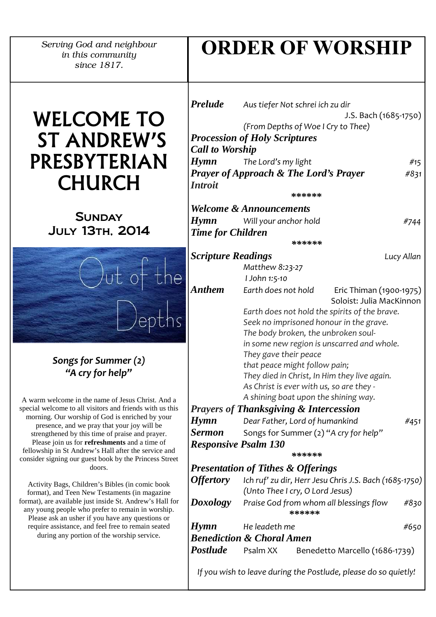*Serving God and neighbour in this community since 1817.*

# ORDER OF WORSHIP

# WELCOME TO ST ANDREW'S PRESBYTERIAN CHURCH

# **SUNDAY** July 13th, 2014



## Songs for Summer (2) "A cry for help"

A warm welcome in the name of Jesus Christ. And a special welcome to all visitors and friends with us this morning. Our worship of God is enriched by your presence, and we pray that your joy will be strengthened by this time of praise and prayer. Please join us for **refreshments** and a time of fellowship in St Andrew's Hall after the service and consider signing our guest book by the Princess Street doors.

Activity Bags, Children's Bibles (in comic book format), and Teen New Testaments (in magazine format), are available just inside St. Andrew's Hall for any young people who prefer to remain in worship. Please ask an usher if you have any questions or require assistance, and feel free to remain seated during any portion of the worship service.

| <b>Prelude</b>                       | Aus tiefer Not schrei ich zu dir                            |                                                                 |            |  |
|--------------------------------------|-------------------------------------------------------------|-----------------------------------------------------------------|------------|--|
|                                      | J.S. Bach (1685-1750)<br>(From Depths of Woe I Cry to Thee) |                                                                 |            |  |
|                                      |                                                             |                                                                 |            |  |
|                                      | <b>Procession of Holy Scriptures</b>                        |                                                                 |            |  |
| <b>Call to Worship</b>               |                                                             |                                                                 |            |  |
| <b>Hymn</b>                          | The Lord's my light                                         |                                                                 | #15        |  |
|                                      | <b>Prayer of Approach &amp; The Lord's Prayer</b>           |                                                                 | #831       |  |
| <i><b>Introit</b></i>                |                                                             |                                                                 |            |  |
|                                      |                                                             | ******                                                          |            |  |
|                                      | <b>Welcome &amp; Announcements</b>                          |                                                                 |            |  |
| <b>Hymn</b>                          | Will your anchor hold                                       |                                                                 | #744       |  |
| <b>Time for Children</b>             |                                                             |                                                                 |            |  |
|                                      |                                                             | ******                                                          |            |  |
| <b>Scripture Readings</b>            |                                                             |                                                                 | Lucy Allan |  |
|                                      | Matthew 8:23-27                                             |                                                                 |            |  |
|                                      | I John 1:5-10                                               |                                                                 |            |  |
| <b>Anthem</b>                        | Earth does not hold                                         | Eric Thiman (1900-1975)                                         |            |  |
|                                      |                                                             | Soloist: Julia MacKinnon                                        |            |  |
|                                      | Earth does not hold the spirits of the brave.               |                                                                 |            |  |
|                                      | Seek no imprisoned honour in the grave.                     |                                                                 |            |  |
|                                      | The body broken, the unbroken soul-                         |                                                                 |            |  |
|                                      | in some new region is unscarred and whole.                  |                                                                 |            |  |
|                                      | They gave their peace                                       |                                                                 |            |  |
|                                      | that peace might follow pain;                               |                                                                 |            |  |
|                                      | They died in Christ, In Him they live again.                |                                                                 |            |  |
|                                      |                                                             | As Christ is ever with us, so are they -                        |            |  |
| A shining boat upon the shining way. |                                                             |                                                                 |            |  |
|                                      | <b>Prayers of Thanksgiving &amp; Intercession</b>           |                                                                 |            |  |
| <b>Hymn</b>                          | Dear Father, Lord of humankind<br>#451                      |                                                                 |            |  |
| Sermon                               | Songs for Summer (2) "A cry for help"                       |                                                                 |            |  |
|                                      | <b>Responsive Psalm 130</b>                                 |                                                                 |            |  |
|                                      |                                                             | ******                                                          |            |  |
|                                      | <b>Presentation of Tithes &amp; Offerings</b>               |                                                                 |            |  |
| <i><b>Offertory</b></i>              |                                                             | Ich ruf' zu dir, Herr Jesu Chris J.S. Bach (1685-1750)          |            |  |
|                                      | (Unto Thee I cry, O Lord Jesus)                             |                                                                 |            |  |
|                                      |                                                             | <b>Doxology</b> Praise God from whom all blessings flow         | #830       |  |
|                                      |                                                             | ******                                                          |            |  |
| <b>Hymn</b>                          | He leadeth me                                               |                                                                 | #650       |  |
|                                      | <b>Benediction &amp; Choral Amen</b>                        |                                                                 |            |  |
|                                      |                                                             |                                                                 |            |  |
|                                      | Postlude Psalm XX                                           | Benedetto Marcello (1686-1739)                                  |            |  |
|                                      |                                                             | If you wish to leave during the Postlude, please do so quietly! |            |  |